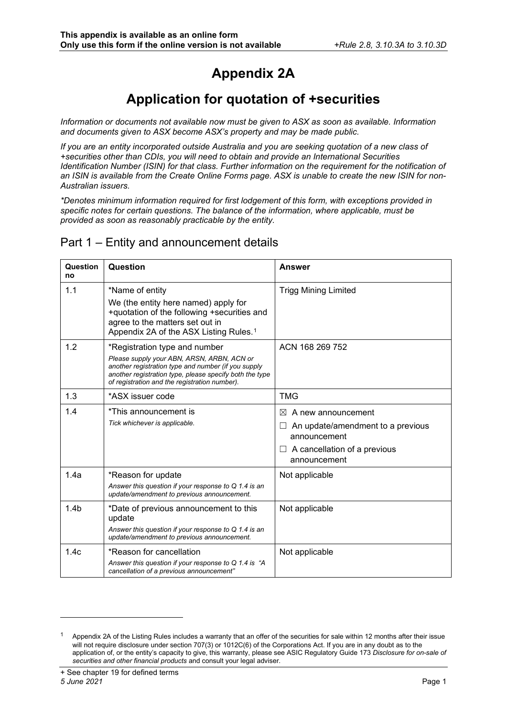## **Appendix 2A**

## **Application for quotation of +securities**

*Information or documents not available now must be given to ASX as soon as available. Information and documents given to ASX become ASX's property and may be made public.*

*If you are an entity incorporated outside Australia and you are seeking quotation of a new class of +securities other than CDIs, you will need to obtain and provide an International Securities Identification Number (ISIN) for that class. Further information on the requirement for the notification of an ISIN is available from the Create Online Forms page. ASX is unable to create the new ISIN for non-Australian issuers.* 

*\*Denotes minimum information required for first lodgement of this form, with exceptions provided in specific notes for certain questions. The balance of the information, where applicable, must be provided as soon as reasonably practicable by the entity.*

#### Part 1 – Entity and announcement details

| <b>Question</b><br>no | Question                                                                                                                                                                                                                                       | <b>Answer</b>                                                                                                                                         |
|-----------------------|------------------------------------------------------------------------------------------------------------------------------------------------------------------------------------------------------------------------------------------------|-------------------------------------------------------------------------------------------------------------------------------------------------------|
| 1.1                   | *Name of entity<br>We (the entity here named) apply for<br>+quotation of the following +securities and<br>agree to the matters set out in<br>Appendix 2A of the ASX Listing Rules. <sup>1</sup>                                                | <b>Trigg Mining Limited</b>                                                                                                                           |
| 1.2                   | *Registration type and number<br>Please supply your ABN, ARSN, ARBN, ACN or<br>another registration type and number (if you supply<br>another registration type, please specify both the type<br>of registration and the registration number). | ACN 168 269 752                                                                                                                                       |
| 1.3                   | *ASX issuer code                                                                                                                                                                                                                               | <b>TMG</b>                                                                                                                                            |
| 1.4                   | *This announcement is<br>Tick whichever is applicable.                                                                                                                                                                                         | $\bowtie$<br>A new announcement<br>An update/amendment to a previous<br>$\Box$<br>announcement<br>$\Box$ A cancellation of a previous<br>announcement |
| 1.4a                  | *Reason for update<br>Answer this question if your response to $Q$ 1.4 is an<br>update/amendment to previous announcement.                                                                                                                     | Not applicable                                                                                                                                        |
| 1.4 <sub>b</sub>      | *Date of previous announcement to this<br>update<br>Answer this question if your response to Q 1.4 is an<br>update/amendment to previous announcement.                                                                                         | Not applicable                                                                                                                                        |
| 1.4c                  | *Reason for cancellation<br>Answer this question if your response to Q 1.4 is "A<br>cancellation of a previous announcement"                                                                                                                   | Not applicable                                                                                                                                        |

<span id="page-0-0"></span>Appendix 2A of the Listing Rules includes a warranty that an offer of the securities for sale within 12 months after their issue will not require disclosure under section 707(3) or 1012C(6) of the Corporations Act. If you are in any doubt as to the application of, or the entity's capacity to give, this warranty, please see ASIC Regulatory Guide 173 *Disclosure for on-sale of securities and other financial products* and consult your legal adviser.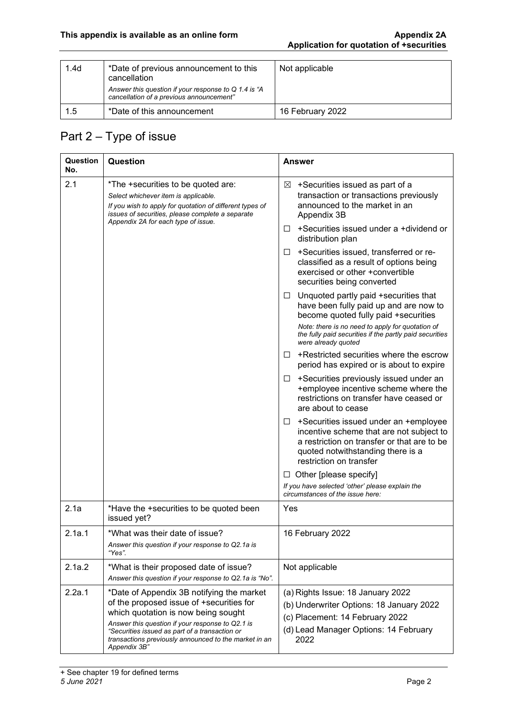| 1.4 <sub>d</sub> | *Date of previous announcement to this<br>cancellation                                           | Not applicable   |
|------------------|--------------------------------------------------------------------------------------------------|------------------|
|                  | Answer this question if your response to Q 1.4 is "A<br>cancellation of a previous announcement" |                  |
| 1.5              | *Date of this announcement                                                                       | 16 February 2022 |

### Part 2 – Type of issue

| Question<br>No. | Question                                                                                                                                                                                                                                                                                                    | Answer                                                                                                                                                                                                |
|-----------------|-------------------------------------------------------------------------------------------------------------------------------------------------------------------------------------------------------------------------------------------------------------------------------------------------------------|-------------------------------------------------------------------------------------------------------------------------------------------------------------------------------------------------------|
| 2.1             | *The +securities to be quoted are:<br>Select whichever item is applicable.<br>If you wish to apply for quotation of different types of<br>issues of securities, please complete a separate<br>Appendix 2A for each type of issue.                                                                           | +Securities issued as part of a<br>⊠<br>transaction or transactions previously<br>announced to the market in an<br>Appendix 3B                                                                        |
|                 |                                                                                                                                                                                                                                                                                                             | +Securities issued under a +dividend or<br>ப<br>distribution plan                                                                                                                                     |
|                 |                                                                                                                                                                                                                                                                                                             | +Securities issued, transferred or re-<br>□<br>classified as a result of options being<br>exercised or other +convertible<br>securities being converted                                               |
|                 |                                                                                                                                                                                                                                                                                                             | Unquoted partly paid +securities that<br>ப<br>have been fully paid up and are now to<br>become quoted fully paid +securities<br>Note: there is no need to apply for quotation of                      |
|                 |                                                                                                                                                                                                                                                                                                             | the fully paid securities if the partly paid securities<br>were already quoted                                                                                                                        |
|                 |                                                                                                                                                                                                                                                                                                             | +Restricted securities where the escrow<br>П<br>period has expired or is about to expire                                                                                                              |
|                 |                                                                                                                                                                                                                                                                                                             | +Securities previously issued under an<br>⊔<br>+employee incentive scheme where the<br>restrictions on transfer have ceased or<br>are about to cease                                                  |
|                 |                                                                                                                                                                                                                                                                                                             | +Securities issued under an +employee<br>ப<br>incentive scheme that are not subject to<br>a restriction on transfer or that are to be<br>quoted notwithstanding there is a<br>restriction on transfer |
|                 |                                                                                                                                                                                                                                                                                                             | Other [please specify]<br>ப                                                                                                                                                                           |
|                 |                                                                                                                                                                                                                                                                                                             | If you have selected 'other' please explain the<br>circumstances of the issue here:                                                                                                                   |
| 2.1a            | *Have the +securities to be quoted been<br>issued yet?                                                                                                                                                                                                                                                      | Yes                                                                                                                                                                                                   |
| 2.1a.1          | *What was their date of issue?<br>Answer this question if your response to Q2.1a is<br>"Yes".                                                                                                                                                                                                               | 16 February 2022                                                                                                                                                                                      |
| 2.1a.2          | *What is their proposed date of issue?<br>Answer this question if your response to Q2.1a is "No".                                                                                                                                                                                                           | Not applicable                                                                                                                                                                                        |
| 2.2a.1          | *Date of Appendix 3B notifying the market<br>of the proposed issue of +securities for<br>which quotation is now being sought<br>Answer this question if your response to Q2.1 is<br>"Securities issued as part of a transaction or<br>transactions previously announced to the market in an<br>Appendix 3B" | (a) Rights Issue: 18 January 2022<br>(b) Underwriter Options: 18 January 2022<br>(c) Placement: 14 February 2022<br>(d) Lead Manager Options: 14 February<br>2022                                     |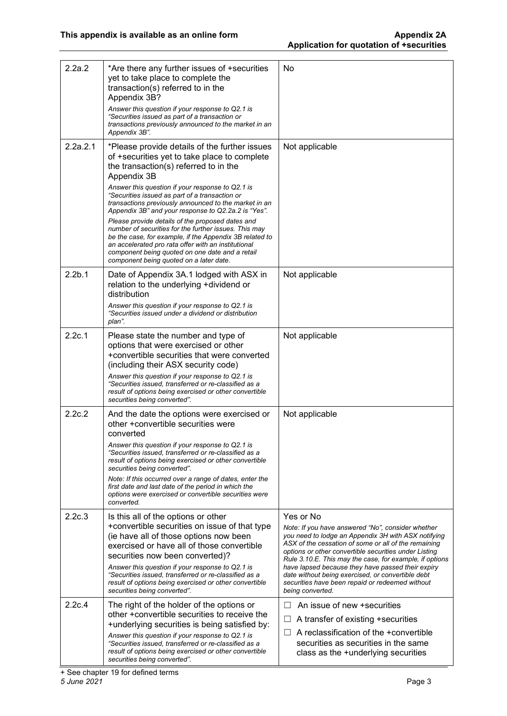| 2.2a.2             | *Are there any further issues of +securities<br>yet to take place to complete the<br>transaction(s) referred to in the<br>Appendix 3B?<br>Answer this question if your response to Q2.1 is<br>"Securities issued as part of a transaction or<br>transactions previously announced to the market in an<br>Appendix 3B".                                                                                                                                                                                                                                                                                                                                                                                   | No                                                                                                                                                                                                                                                                                                                                                                                                                                                                                 |
|--------------------|----------------------------------------------------------------------------------------------------------------------------------------------------------------------------------------------------------------------------------------------------------------------------------------------------------------------------------------------------------------------------------------------------------------------------------------------------------------------------------------------------------------------------------------------------------------------------------------------------------------------------------------------------------------------------------------------------------|------------------------------------------------------------------------------------------------------------------------------------------------------------------------------------------------------------------------------------------------------------------------------------------------------------------------------------------------------------------------------------------------------------------------------------------------------------------------------------|
| 2.2a.2.1           | *Please provide details of the further issues<br>of +securities yet to take place to complete<br>the transaction(s) referred to in the<br>Appendix 3B<br>Answer this question if your response to Q2.1 is<br>"Securities issued as part of a transaction or<br>transactions previously announced to the market in an<br>Appendix 3B" and your response to Q2.2a.2 is "Yes".<br>Please provide details of the proposed dates and<br>number of securities for the further issues. This may<br>be the case, for example, if the Appendix 3B related to<br>an accelerated pro rata offer with an institutional<br>component being quoted on one date and a retail<br>component being quoted on a later date. | Not applicable                                                                                                                                                                                                                                                                                                                                                                                                                                                                     |
| 2.2 <sub>b.1</sub> | Date of Appendix 3A.1 lodged with ASX in<br>relation to the underlying +dividend or<br>distribution<br>Answer this question if your response to Q2.1 is<br>"Securities issued under a dividend or distribution<br>plan".                                                                                                                                                                                                                                                                                                                                                                                                                                                                                 | Not applicable                                                                                                                                                                                                                                                                                                                                                                                                                                                                     |
| 2.2c.1             | Please state the number and type of<br>options that were exercised or other<br>+convertible securities that were converted<br>(including their ASX security code)<br>Answer this question if your response to Q2.1 is<br>"Securities issued, transferred or re-classified as a<br>result of options being exercised or other convertible<br>securities being converted".                                                                                                                                                                                                                                                                                                                                 | Not applicable                                                                                                                                                                                                                                                                                                                                                                                                                                                                     |
| 2.2c.2             | And the date the options were exercised or<br>other +convertible securities were<br>converted<br>Answer this question if your response to Q2.1 is<br>"Securities issued, transferred or re-classified as a<br>result of options being exercised or other convertible<br>securities being converted".<br>Note: If this occurred over a range of dates, enter the<br>first date and last date of the period in which the<br>options were exercised or convertible securities were<br>converted.                                                                                                                                                                                                            | Not applicable                                                                                                                                                                                                                                                                                                                                                                                                                                                                     |
| 2.2c.3             | Is this all of the options or other<br>+convertible securities on issue of that type<br>(ie have all of those options now been<br>exercised or have all of those convertible<br>securities now been converted)?<br>Answer this question if your response to Q2.1 is<br>"Securities issued, transferred or re-classified as a<br>result of options being exercised or other convertible<br>securities being converted".                                                                                                                                                                                                                                                                                   | Yes or No<br>Note: If you have answered "No", consider whether<br>you need to lodge an Appendix 3H with ASX notifying<br>ASX of the cessation of some or all of the remaining<br>options or other convertible securities under Listing<br>Rule 3.10.E. This may the case, for example, if options<br>have lapsed because they have passed their expiry<br>date without being exercised, or convertible debt<br>securities have been repaid or redeemed without<br>being converted. |
| 2.2c.4             | The right of the holder of the options or<br>other +convertible securities to receive the<br>+underlying securities is being satisfied by:<br>Answer this question if your response to Q2.1 is<br>"Securities issued, transferred or re-classified as a<br>result of options being exercised or other convertible<br>securities being converted".                                                                                                                                                                                                                                                                                                                                                        | An issue of new +securities<br>A transfer of existing +securities<br>$\Box$<br>A reclassification of the +convertible<br>securities as securities in the same<br>class as the +underlying securities                                                                                                                                                                                                                                                                               |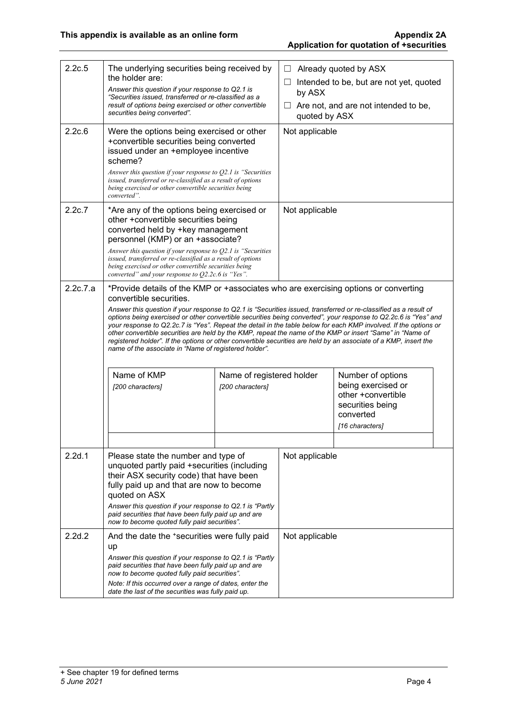| 2.2c.5   | The underlying securities being received by<br>the holder are:<br>Answer this question if your response to Q2.1 is<br>"Securities issued, transferred or re-classified as a<br>result of options being exercised or other convertible<br>securities being converted".                                                                                                                                                                                                                                                                                                                                                                             |                           | $\Box$<br>by ASX<br>$\Box$<br>quoted by ASX | Already quoted by ASX<br>Intended to be, but are not yet, quoted<br>Are not, and are not intended to be, |  |
|----------|---------------------------------------------------------------------------------------------------------------------------------------------------------------------------------------------------------------------------------------------------------------------------------------------------------------------------------------------------------------------------------------------------------------------------------------------------------------------------------------------------------------------------------------------------------------------------------------------------------------------------------------------------|---------------------------|---------------------------------------------|----------------------------------------------------------------------------------------------------------|--|
| 2.2c.6   | Were the options being exercised or other<br>+convertible securities being converted<br>issued under an +employee incentive<br>scheme?<br>Answer this question if your response to Q2.1 is "Securities"<br>issued, transferred or re-classified as a result of options<br>being exercised or other convertible securities being                                                                                                                                                                                                                                                                                                                   |                           | Not applicable                              |                                                                                                          |  |
|          | converted".                                                                                                                                                                                                                                                                                                                                                                                                                                                                                                                                                                                                                                       |                           |                                             |                                                                                                          |  |
| 2.2c.7   | *Are any of the options being exercised or<br>other +convertible securities being<br>converted held by +key management<br>personnel (KMP) or an +associate?<br>Answer this question if your response to $Q2.1$ is "Securities                                                                                                                                                                                                                                                                                                                                                                                                                     |                           | Not applicable                              |                                                                                                          |  |
|          | issued, transferred or re-classified as a result of options<br>being exercised or other convertible securities being<br>converted" and your response to O2.2c.6 is "Yes".                                                                                                                                                                                                                                                                                                                                                                                                                                                                         |                           |                                             |                                                                                                          |  |
| 2.2c.7.a | *Provide details of the KMP or +associates who are exercising options or converting<br>convertible securities.                                                                                                                                                                                                                                                                                                                                                                                                                                                                                                                                    |                           |                                             |                                                                                                          |  |
|          | Answer this question if your response to Q2.1 is "Securities issued, transferred or re-classified as a result of<br>options being exercised or other convertible securities being converted", your response to Q2.2c.6 is "Yes" and<br>your response to Q2.2c.7 is "Yes". Repeat the detail in the table below for each KMP involved. If the options or<br>other convertible securities are held by the KMP, repeat the name of the KMP or insert "Same" in "Name of<br>registered holder". If the options or other convertible securities are held by an associate of a KMP, insert the<br>name of the associate in "Name of registered holder". |                           |                                             |                                                                                                          |  |
|          | Name of KMP                                                                                                                                                                                                                                                                                                                                                                                                                                                                                                                                                                                                                                       | Name of registered holder |                                             | Number of options                                                                                        |  |
|          | [200 characters]                                                                                                                                                                                                                                                                                                                                                                                                                                                                                                                                                                                                                                  | [200 characters]          |                                             | being exercised or<br>other +convertible<br>securities being<br>converted<br>[16 characters]             |  |
| 2.2d.1   | Please state the number and type of<br>unquoted partly paid +securities (including<br>their ASX security code) that have been<br>fully paid up and that are now to become<br>quoted on ASX                                                                                                                                                                                                                                                                                                                                                                                                                                                        |                           | Not applicable                              |                                                                                                          |  |
|          | Answer this question if your response to Q2.1 is "Partly"<br>paid securities that have been fully paid up and are<br>now to become quoted fully paid securities".                                                                                                                                                                                                                                                                                                                                                                                                                                                                                 |                           |                                             |                                                                                                          |  |
| 2.2d.2   | And the date the *securities were fully paid<br>up<br>Answer this question if your response to Q2.1 is "Partly"<br>paid securities that have been fully paid up and are<br>now to become quoted fully paid securities".                                                                                                                                                                                                                                                                                                                                                                                                                           |                           | Not applicable                              |                                                                                                          |  |
|          | Note: If this occurred over a range of dates, enter the<br>date the last of the securities was fully paid up.                                                                                                                                                                                                                                                                                                                                                                                                                                                                                                                                     |                           |                                             |                                                                                                          |  |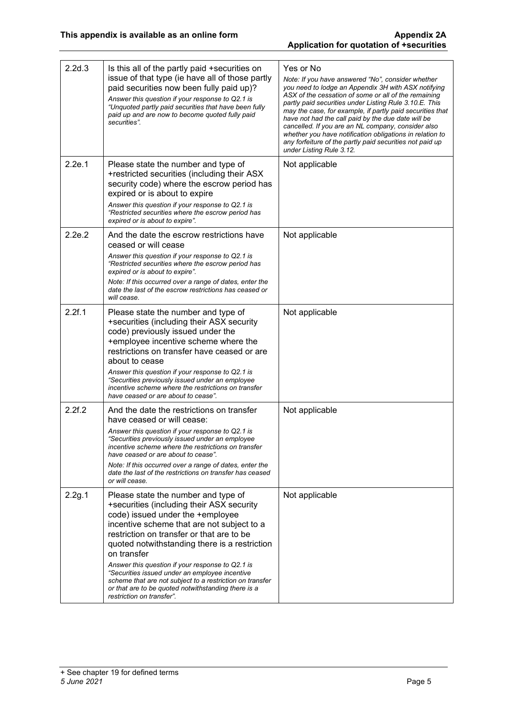| 2.2d.3 | Is this all of the partly paid +securities on<br>issue of that type (ie have all of those partly<br>paid securities now been fully paid up)?<br>Answer this question if your response to Q2.1 is<br>"Unquoted partly paid securities that have been fully<br>paid up and are now to become quoted fully paid<br>securities".                                                                                                                                                                                                          | Yes or No<br>Note: If you have answered "No", consider whether<br>you need to lodge an Appendix 3H with ASX notifying<br>ASX of the cessation of some or all of the remaining<br>partly paid securities under Listing Rule 3.10.E. This<br>may the case, for example, if partly paid securities that<br>have not had the call paid by the due date will be<br>cancelled. If you are an NL company, consider also<br>whether you have notification obligations in relation to<br>any forfeiture of the partly paid securities not paid up<br>under Listing Rule 3.12. |
|--------|---------------------------------------------------------------------------------------------------------------------------------------------------------------------------------------------------------------------------------------------------------------------------------------------------------------------------------------------------------------------------------------------------------------------------------------------------------------------------------------------------------------------------------------|----------------------------------------------------------------------------------------------------------------------------------------------------------------------------------------------------------------------------------------------------------------------------------------------------------------------------------------------------------------------------------------------------------------------------------------------------------------------------------------------------------------------------------------------------------------------|
| 2.2e.1 | Please state the number and type of<br>+restricted securities (including their ASX<br>security code) where the escrow period has<br>expired or is about to expire<br>Answer this question if your response to Q2.1 is<br>"Restricted securities where the escrow period has<br>expired or is about to expire".                                                                                                                                                                                                                        | Not applicable                                                                                                                                                                                                                                                                                                                                                                                                                                                                                                                                                       |
| 2.2e.2 | And the date the escrow restrictions have<br>ceased or will cease<br>Answer this question if your response to Q2.1 is<br>"Restricted securities where the escrow period has<br>expired or is about to expire".<br>Note: If this occurred over a range of dates, enter the<br>date the last of the escrow restrictions has ceased or<br>will cease.                                                                                                                                                                                    | Not applicable                                                                                                                                                                                                                                                                                                                                                                                                                                                                                                                                                       |
| 2.2f.1 | Please state the number and type of<br>+securities (including their ASX security<br>code) previously issued under the<br>+employee incentive scheme where the<br>restrictions on transfer have ceased or are<br>about to cease<br>Answer this question if your response to Q2.1 is<br>"Securities previously issued under an employee<br>incentive scheme where the restrictions on transfer<br>have ceased or are about to cease".                                                                                                   | Not applicable                                                                                                                                                                                                                                                                                                                                                                                                                                                                                                                                                       |
| 2.2f.2 | And the date the restrictions on transfer<br>have ceased or will cease:<br>Answer this question if your response to Q2.1 is<br>"Securities previously issued under an employee<br>incentive scheme where the restrictions on transfer<br>have ceased or are about to cease".<br>Note: If this occurred over a range of dates, enter the<br>date the last of the restrictions on transfer has ceased<br>or will cease.                                                                                                                 | Not applicable                                                                                                                                                                                                                                                                                                                                                                                                                                                                                                                                                       |
| 2.2g.1 | Please state the number and type of<br>+securities (including their ASX security<br>code) issued under the +employee<br>incentive scheme that are not subject to a<br>restriction on transfer or that are to be<br>quoted notwithstanding there is a restriction<br>on transfer<br>Answer this question if your response to Q2.1 is<br>"Securities issued under an employee incentive<br>scheme that are not subject to a restriction on transfer<br>or that are to be quoted notwithstanding there is a<br>restriction on transfer". | Not applicable                                                                                                                                                                                                                                                                                                                                                                                                                                                                                                                                                       |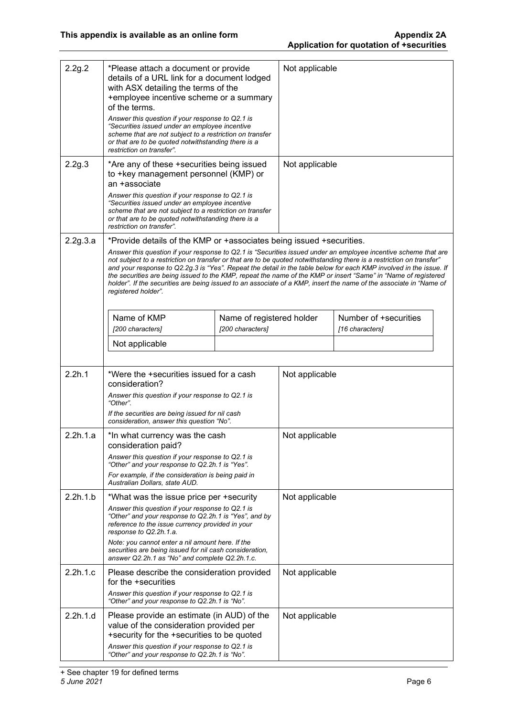| 2.2g.2   | *Please attach a document or provide<br>details of a URL link for a document lodged<br>with ASX detailing the terms of the<br>+employee incentive scheme or a summary<br>of the terms.<br>Answer this question if your response to Q2.1 is<br>"Securities issued under an employee incentive<br>scheme that are not subject to a restriction on transfer                                                                                                                                                                                                                                                                                                                                              |                           | Not applicable |                       |
|----------|-------------------------------------------------------------------------------------------------------------------------------------------------------------------------------------------------------------------------------------------------------------------------------------------------------------------------------------------------------------------------------------------------------------------------------------------------------------------------------------------------------------------------------------------------------------------------------------------------------------------------------------------------------------------------------------------------------|---------------------------|----------------|-----------------------|
|          | or that are to be quoted notwithstanding there is a<br>restriction on transfer".                                                                                                                                                                                                                                                                                                                                                                                                                                                                                                                                                                                                                      |                           |                |                       |
| 2.2g.3   | *Are any of these +securities being issued<br>to +key management personnel (KMP) or<br>an +associate<br>Answer this question if your response to Q2.1 is<br>"Securities issued under an employee incentive<br>scheme that are not subject to a restriction on transfer                                                                                                                                                                                                                                                                                                                                                                                                                                |                           | Not applicable |                       |
|          | or that are to be quoted notwithstanding there is a<br>restriction on transfer".                                                                                                                                                                                                                                                                                                                                                                                                                                                                                                                                                                                                                      |                           |                |                       |
| 2.2g.3.a | *Provide details of the KMP or +associates being issued +securities.<br>Answer this question if your response to Q2.1 is "Securities issued under an employee incentive scheme that are<br>not subject to a restriction on transfer or that are to be quoted notwithstanding there is a restriction on transfer"<br>and your response to Q2.2g.3 is "Yes". Repeat the detail in the table below for each KMP involved in the issue. If<br>the securities are being issued to the KMP, repeat the name of the KMP or insert "Same" in "Name of registered<br>holder". If the securities are being issued to an associate of a KMP, insert the name of the associate in "Name of<br>registered holder". |                           |                |                       |
|          | Name of KMP                                                                                                                                                                                                                                                                                                                                                                                                                                                                                                                                                                                                                                                                                           | Name of registered holder |                | Number of +securities |
|          | [200 characters]                                                                                                                                                                                                                                                                                                                                                                                                                                                                                                                                                                                                                                                                                      | [200 characters]          |                | [16 characters]       |
|          |                                                                                                                                                                                                                                                                                                                                                                                                                                                                                                                                                                                                                                                                                                       |                           |                |                       |
|          | Not applicable                                                                                                                                                                                                                                                                                                                                                                                                                                                                                                                                                                                                                                                                                        |                           |                |                       |
| 2.2h.1   | *Were the +securities issued for a cash<br>consideration?<br>Answer this question if your response to Q2.1 is<br>"Other".<br>If the securities are being issued for nil cash<br>consideration, answer this question "No".                                                                                                                                                                                                                                                                                                                                                                                                                                                                             |                           | Not applicable |                       |
| 2.2h.1.a | *In what currency was the cash<br>consideration paid?                                                                                                                                                                                                                                                                                                                                                                                                                                                                                                                                                                                                                                                 |                           | Not applicable |                       |
|          | Answer this question if your response to Q2.1 is<br>"Other" and your response to Q2.2h.1 is "Yes".                                                                                                                                                                                                                                                                                                                                                                                                                                                                                                                                                                                                    |                           |                |                       |
|          | For example, if the consideration is being paid in<br>Australian Dollars, state AUD.                                                                                                                                                                                                                                                                                                                                                                                                                                                                                                                                                                                                                  |                           |                |                       |
| 2.2h.1.b | *What was the issue price per +security                                                                                                                                                                                                                                                                                                                                                                                                                                                                                                                                                                                                                                                               |                           | Not applicable |                       |
|          | Answer this question if your response to Q2.1 is<br>"Other" and your response to Q2.2h.1 is "Yes", and by<br>reference to the issue currency provided in your<br>response to Q2.2h.1.a.<br>Note: you cannot enter a nil amount here. If the<br>securities are being issued for nil cash consideration,<br>answer Q2.2h.1 as "No" and complete Q2.2h.1.c.                                                                                                                                                                                                                                                                                                                                              |                           |                |                       |
| 2.2h.1.c | Please describe the consideration provided                                                                                                                                                                                                                                                                                                                                                                                                                                                                                                                                                                                                                                                            |                           | Not applicable |                       |
|          | for the +securities<br>Answer this question if your response to Q2.1 is<br>"Other" and your response to Q2.2h.1 is "No".                                                                                                                                                                                                                                                                                                                                                                                                                                                                                                                                                                              |                           |                |                       |
| 2.2h.1.d | Please provide an estimate (in AUD) of the<br>value of the consideration provided per<br>+security for the +securities to be quoted<br>Answer this question if your response to Q2.1 is<br>"Other" and your response to Q2.2h.1 is "No".                                                                                                                                                                                                                                                                                                                                                                                                                                                              |                           | Not applicable |                       |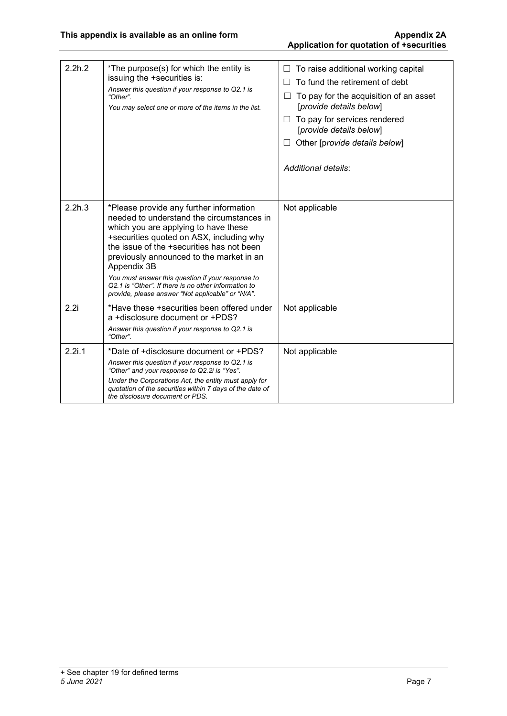# **Application for quotation of +securities**

| 2.2h.2 | *The purpose(s) for which the entity is<br>issuing the +securities is:<br>Answer this question if your response to Q2.1 is<br>"Other".<br>You may select one or more of the items in the list.                                                                                                                                                                                                                                                     | To raise additional working capital<br>To fund the retirement of debt<br>To pay for the acquisition of an asset<br>[provide details below]<br>To pay for services rendered<br>[provide details below]<br>Other [provide details below]<br>Additional details: |
|--------|----------------------------------------------------------------------------------------------------------------------------------------------------------------------------------------------------------------------------------------------------------------------------------------------------------------------------------------------------------------------------------------------------------------------------------------------------|---------------------------------------------------------------------------------------------------------------------------------------------------------------------------------------------------------------------------------------------------------------|
| 2.2h.3 | *Please provide any further information<br>needed to understand the circumstances in<br>which you are applying to have these<br>+securities quoted on ASX, including why<br>the issue of the +securities has not been<br>previously announced to the market in an<br>Appendix 3B<br>You must answer this question if your response to<br>Q2.1 is "Other". If there is no other information to<br>provide, please answer "Not applicable" or "N/A". | Not applicable                                                                                                                                                                                                                                                |
| 2.2i   | *Have these +securities been offered under<br>a +disclosure document or +PDS?<br>Answer this question if your response to Q2.1 is<br>"Other".                                                                                                                                                                                                                                                                                                      | Not applicable                                                                                                                                                                                                                                                |
| 2.2i.1 | *Date of +disclosure document or +PDS?<br>Answer this question if your response to Q2.1 is<br>"Other" and your response to Q2.2i is "Yes".<br>Under the Corporations Act, the entity must apply for<br>quotation of the securities within 7 days of the date of<br>the disclosure document or PDS.                                                                                                                                                 | Not applicable                                                                                                                                                                                                                                                |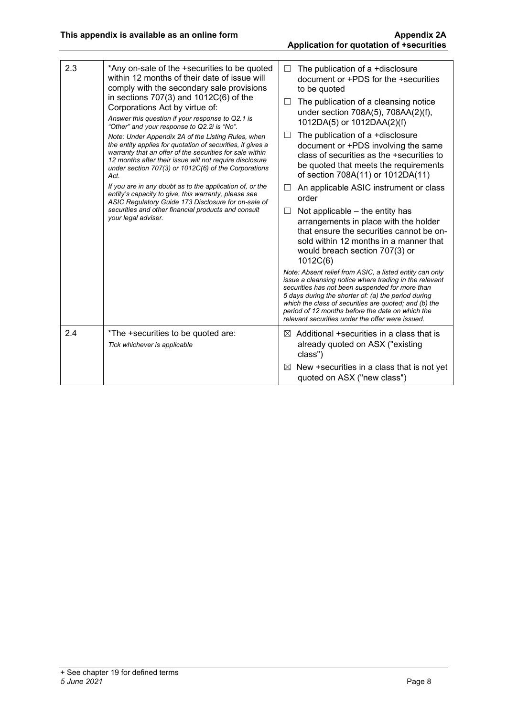| 2.3 | *Any on-sale of the +securities to be quoted<br>within 12 months of their date of issue will<br>comply with the secondary sale provisions<br>in sections $707(3)$ and $1012C(6)$ of the<br>Corporations Act by virtue of:<br>Answer this question if your response to Q2.1 is<br>"Other" and your response to Q2.2i is "No".<br>Note: Under Appendix 2A of the Listing Rules, when<br>the entity applies for quotation of securities, it gives a<br>warranty that an offer of the securities for sale within<br>12 months after their issue will not require disclosure<br>under section 707(3) or 1012C(6) of the Corporations<br>Act.<br>If you are in any doubt as to the application of, or the<br>entity's capacity to give, this warranty, please see<br>ASIC Regulatory Guide 173 Disclosure for on-sale of<br>securities and other financial products and consult<br>your legal adviser. | $\Box$<br>$\Box$<br>□<br>$\Box$<br>ш | The publication of a +disclosure<br>document or +PDS for the +securities<br>to be quoted<br>The publication of a cleansing notice<br>under section 708A(5), 708AA(2)(f),<br>1012DA(5) or 1012DAA(2)(f)<br>The publication of a +disclosure<br>document or +PDS involving the same<br>class of securities as the +securities to<br>be quoted that meets the requirements<br>of section 708A(11) or 1012DA(11)<br>An applicable ASIC instrument or class<br>order<br>Not applicable – the entity has<br>arrangements in place with the holder<br>that ensure the securities cannot be on-<br>sold within 12 months in a manner that<br>would breach section 707(3) or<br>1012C(6)<br>Note: Absent relief from ASIC, a listed entity can only<br>issue a cleansing notice where trading in the relevant<br>securities has not been suspended for more than<br>5 days during the shorter of: (a) the period during<br>which the class of securities are quoted; and (b) the<br>period of 12 months before the date on which the<br>relevant securities under the offer were issued. |
|-----|--------------------------------------------------------------------------------------------------------------------------------------------------------------------------------------------------------------------------------------------------------------------------------------------------------------------------------------------------------------------------------------------------------------------------------------------------------------------------------------------------------------------------------------------------------------------------------------------------------------------------------------------------------------------------------------------------------------------------------------------------------------------------------------------------------------------------------------------------------------------------------------------------|--------------------------------------|---------------------------------------------------------------------------------------------------------------------------------------------------------------------------------------------------------------------------------------------------------------------------------------------------------------------------------------------------------------------------------------------------------------------------------------------------------------------------------------------------------------------------------------------------------------------------------------------------------------------------------------------------------------------------------------------------------------------------------------------------------------------------------------------------------------------------------------------------------------------------------------------------------------------------------------------------------------------------------------------------------------------------------------------------------------------------------|
| 2.4 | *The +securities to be quoted are:<br>Tick whichever is applicable                                                                                                                                                                                                                                                                                                                                                                                                                                                                                                                                                                                                                                                                                                                                                                                                                               | M                                    | Additional +securities in a class that is<br>already quoted on ASX ("existing<br>class")                                                                                                                                                                                                                                                                                                                                                                                                                                                                                                                                                                                                                                                                                                                                                                                                                                                                                                                                                                                        |
|     |                                                                                                                                                                                                                                                                                                                                                                                                                                                                                                                                                                                                                                                                                                                                                                                                                                                                                                  | ⊠                                    | New +securities in a class that is not yet<br>quoted on ASX ("new class")                                                                                                                                                                                                                                                                                                                                                                                                                                                                                                                                                                                                                                                                                                                                                                                                                                                                                                                                                                                                       |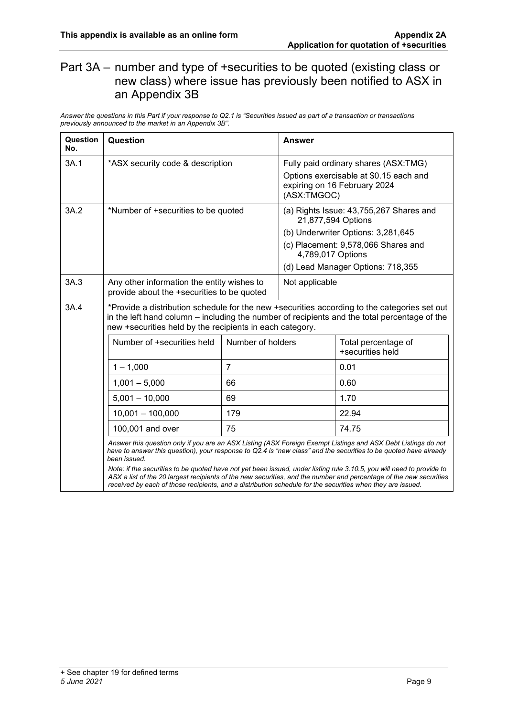#### Part 3A – number and type of +securities to be quoted (existing class or new class) where issue has previously been notified to ASX in an Appendix 3B

*Answer the questions in this Part if your response to Q2.1 is "Securities issued as part of a transaction or transactions previously announced to the market in an Appendix 3B".*

| Question<br>No. | Question                                                                                                                                                                                                                                                                                                                                                                   |                                                                                          | <b>Answer</b>     |                                                                                                                                                                                 |
|-----------------|----------------------------------------------------------------------------------------------------------------------------------------------------------------------------------------------------------------------------------------------------------------------------------------------------------------------------------------------------------------------------|------------------------------------------------------------------------------------------|-------------------|---------------------------------------------------------------------------------------------------------------------------------------------------------------------------------|
| 3A.1            | *ASX security code & description                                                                                                                                                                                                                                                                                                                                           |                                                                                          | (ASX:TMGOC)       | Fully paid ordinary shares (ASX:TMG)<br>Options exercisable at \$0.15 each and<br>expiring on 16 February 2024                                                                  |
| 3A.2            | *Number of +securities to be quoted                                                                                                                                                                                                                                                                                                                                        |                                                                                          | 4,789,017 Options | (a) Rights Issue: 43,755,267 Shares and<br>21,877,594 Options<br>(b) Underwriter Options: 3,281,645<br>(c) Placement: 9,578,066 Shares and<br>(d) Lead Manager Options: 718,355 |
| 3A.3            |                                                                                                                                                                                                                                                                                                                                                                            | Any other information the entity wishes to<br>provide about the +securities to be quoted |                   | Not applicable                                                                                                                                                                  |
| 3A.4            | *Provide a distribution schedule for the new +securities according to the categories set out<br>in the left hand column – including the number of recipients and the total percentage of the<br>new +securities held by the recipients in each category.                                                                                                                   |                                                                                          |                   |                                                                                                                                                                                 |
|                 | Number of +securities held                                                                                                                                                                                                                                                                                                                                                 | Number of holders                                                                        |                   | Total percentage of<br>+securities held                                                                                                                                         |
|                 | $1 - 1,000$                                                                                                                                                                                                                                                                                                                                                                | $\overline{7}$                                                                           |                   | 0.01                                                                                                                                                                            |
|                 | $1,001 - 5,000$                                                                                                                                                                                                                                                                                                                                                            | 66                                                                                       |                   | 0.60                                                                                                                                                                            |
|                 | $5,001 - 10,000$                                                                                                                                                                                                                                                                                                                                                           | 69                                                                                       |                   | 1.70                                                                                                                                                                            |
|                 | $10,001 - 100,000$                                                                                                                                                                                                                                                                                                                                                         | 179                                                                                      |                   | 22.94                                                                                                                                                                           |
|                 | 100,001 and over                                                                                                                                                                                                                                                                                                                                                           | 75                                                                                       |                   | 74.75                                                                                                                                                                           |
|                 | Answer this question only if you are an ASX Listing (ASX Foreign Exempt Listings and ASX Debt Listings do not<br>have to answer this question), your response to Q2.4 is "new class" and the securities to be quoted have already<br>been issued.<br>Note: if the securities to be quoted have not yet been issued, under listing rule 3.10.5, you will need to provide to |                                                                                          |                   |                                                                                                                                                                                 |
|                 | received by each of those recipients, and a distribution schedule for the securities when they are issued.                                                                                                                                                                                                                                                                 |                                                                                          |                   | ASX a list of the 20 largest recipients of the new securities, and the number and percentage of the new securities                                                              |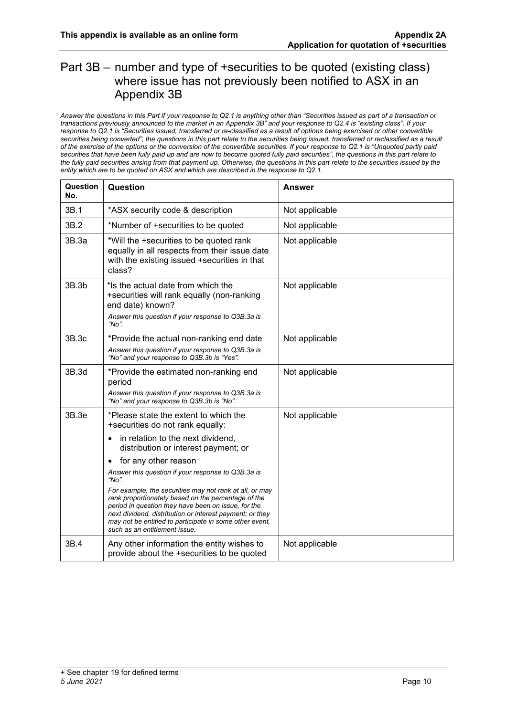#### Part 3B – number and type of +securities to be quoted (existing class) where issue has not previously been notified to ASX in an Appendix 3B

*Answer the questions in this Part if your response to Q2.1 is anything other than "Securities issued as part of a transaction or transactions previously announced to the market in an Appendix 3B" and your response to Q2.4 is "existing class". If your response to Q2.1 is "Securities issued, transferred or re-classified as a result of options being exercised or other convertible securities being converted", the questions in this part relate to the securities being issued, transferred or reclassified as a result of the exercise of the options or the conversion of the convertible securities. If your response to Q2.1 is "Unquoted partly paid securities that have been fully paid up and are now to become quoted fully paid securities", the questions in this part relate to the fully paid securities arising from that payment up. Otherwise, the questions in this part relate to the securities issued by the entity which are to be quoted on ASX and which are described in the response to Q2.1.*

| Question<br>No. | Question                                                                                                                                                                                                                                                                                                                      | <b>Answer</b>  |
|-----------------|-------------------------------------------------------------------------------------------------------------------------------------------------------------------------------------------------------------------------------------------------------------------------------------------------------------------------------|----------------|
| 3B.1            | *ASX security code & description                                                                                                                                                                                                                                                                                              | Not applicable |
| 3B.2            | *Number of +securities to be quoted                                                                                                                                                                                                                                                                                           | Not applicable |
| 3B.3a           | *Will the +securities to be quoted rank<br>equally in all respects from their issue date<br>with the existing issued +securities in that<br>class?                                                                                                                                                                            | Not applicable |
| 3B.3b           | *Is the actual date from which the<br>+securities will rank equally (non-ranking<br>end date) known?<br>Answer this question if your response to Q3B.3a is<br>" $No$ ".                                                                                                                                                       | Not applicable |
| 3B.3c           | *Provide the actual non-ranking end date<br>Answer this question if your response to Q3B.3a is<br>"No" and your response to Q3B.3b is "Yes".                                                                                                                                                                                  | Not applicable |
| 3B.3d           | *Provide the estimated non-ranking end<br>period<br>Answer this question if your response to Q3B.3a is<br>"No" and your response to Q3B.3b is "No".                                                                                                                                                                           | Not applicable |
| 3B.3e           | *Please state the extent to which the<br>+securities do not rank equally:                                                                                                                                                                                                                                                     | Not applicable |
|                 | in relation to the next dividend,<br>distribution or interest payment; or                                                                                                                                                                                                                                                     |                |
|                 | for any other reason<br>Answer this question if your response to Q3B.3a is<br>" $No$ ".                                                                                                                                                                                                                                       |                |
|                 | For example, the securities may not rank at all, or may<br>rank proportionately based on the percentage of the<br>period in question they have been on issue, for the<br>next dividend, distribution or interest payment; or they<br>may not be entitled to participate in some other event,<br>such as an entitlement issue. |                |
| 3B.4            | Any other information the entity wishes to<br>provide about the +securities to be quoted                                                                                                                                                                                                                                      | Not applicable |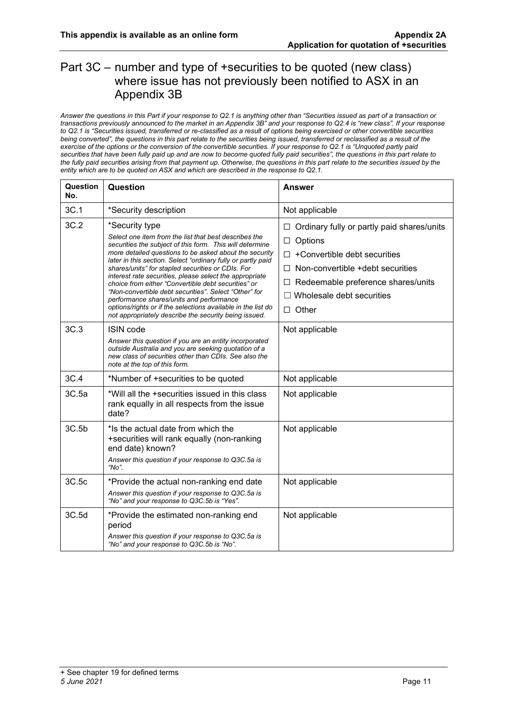#### Part 3C – number and type of +securities to be quoted (new class) where issue has not previously been notified to ASX in an Appendix 3B

*Answer the questions in this Part if your response to Q2.1 is anything other than "Securities issued as part of a transaction or transactions previously announced to the market in an Appendix 3B" and your response to Q2.4 is "new class". If your response to Q2.1 is "Securities issued, transferred or re-classified as a result of options being exercised or other convertible securities being converted", the questions in this part relate to the securities being issued, transferred or reclassified as a result of the exercise of the options or the conversion of the convertible securities. If your response to Q2.1 is "Unquoted partly paid securities that have been fully paid up and are now to become quoted fully paid securities", the questions in this part relate to the fully paid securities arising from that payment up. Otherwise, the questions in this part relate to the securities issued by the entity which are to be quoted on ASX and which are described in the response to Q2.1.*

| Question<br>No. | Question                                                                                                                                                                                                                                                                                                                                                                                                                                                                                                                                                                                                                                                           | Answer                                                                                                                                                                                                                                  |
|-----------------|--------------------------------------------------------------------------------------------------------------------------------------------------------------------------------------------------------------------------------------------------------------------------------------------------------------------------------------------------------------------------------------------------------------------------------------------------------------------------------------------------------------------------------------------------------------------------------------------------------------------------------------------------------------------|-----------------------------------------------------------------------------------------------------------------------------------------------------------------------------------------------------------------------------------------|
| 3C.1            | *Security description                                                                                                                                                                                                                                                                                                                                                                                                                                                                                                                                                                                                                                              | Not applicable                                                                                                                                                                                                                          |
| 3C.2            | *Security type<br>Select one item from the list that best describes the<br>securities the subject of this form. This will determine<br>more detailed questions to be asked about the security<br>later in this section. Select "ordinary fully or partly paid<br>shares/units" for stapled securities or CDIs. For<br>interest rate securities, please select the appropriate<br>choice from either "Convertible debt securities" or<br>"Non-convertible debt securities". Select "Other" for<br>performance shares/units and performance<br>options/rights or if the selections available in the list do<br>not appropriately describe the security being issued. | Ordinary fully or partly paid shares/units<br>□<br>Options<br>□<br>+Convertible debt securities<br>П.<br>Non-convertible +debt securities<br>П.<br>Redeemable preference shares/units<br>⊔<br>Wholesale debt securities<br>$\Box$ Other |
| 3C.3            | ISIN code<br>Answer this question if you are an entity incorporated<br>outside Australia and you are seeking quotation of a<br>new class of securities other than CDIs. See also the<br>note at the top of this form.                                                                                                                                                                                                                                                                                                                                                                                                                                              | Not applicable                                                                                                                                                                                                                          |
| 3C.4            | *Number of +securities to be quoted                                                                                                                                                                                                                                                                                                                                                                                                                                                                                                                                                                                                                                | Not applicable                                                                                                                                                                                                                          |
| 3C.5a           | *Will all the +securities issued in this class<br>rank equally in all respects from the issue<br>date?                                                                                                                                                                                                                                                                                                                                                                                                                                                                                                                                                             | Not applicable                                                                                                                                                                                                                          |
| 3C.5b           | *Is the actual date from which the<br>+securities will rank equally (non-ranking<br>end date) known?<br>Answer this question if your response to Q3C.5a is<br>" $No$ "                                                                                                                                                                                                                                                                                                                                                                                                                                                                                             | Not applicable                                                                                                                                                                                                                          |
| 3C.5c           | *Provide the actual non-ranking end date<br>Answer this question if your response to Q3C.5a is<br>"No" and your response to Q3C.5b is "Yes".                                                                                                                                                                                                                                                                                                                                                                                                                                                                                                                       | Not applicable                                                                                                                                                                                                                          |
| 3C.5d           | *Provide the estimated non-ranking end<br>period<br>Answer this question if your response to Q3C.5a is<br>"No" and your response to Q3C.5b is "No".                                                                                                                                                                                                                                                                                                                                                                                                                                                                                                                | Not applicable                                                                                                                                                                                                                          |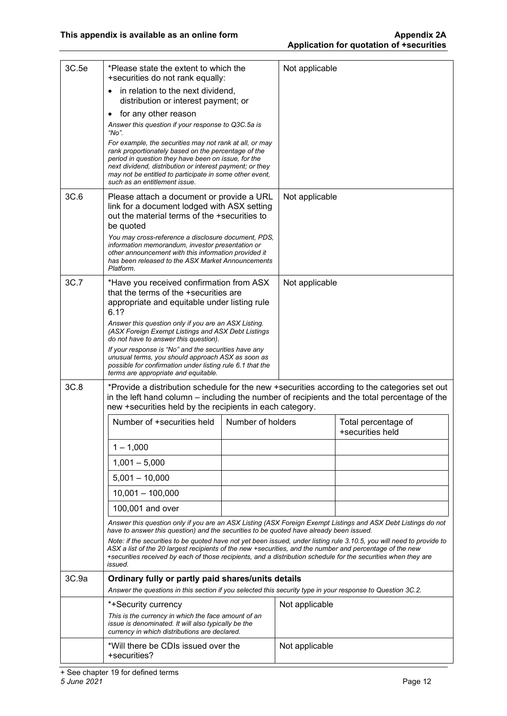| 3C.5e | *Please state the extent to which the<br>+securities do not rank equally:                                                                                                                                                                                                                                                                                      |                   | Not applicable |                                                                                              |
|-------|----------------------------------------------------------------------------------------------------------------------------------------------------------------------------------------------------------------------------------------------------------------------------------------------------------------------------------------------------------------|-------------------|----------------|----------------------------------------------------------------------------------------------|
|       | in relation to the next dividend,<br>distribution or interest payment; or                                                                                                                                                                                                                                                                                      |                   |                |                                                                                              |
|       | for any other reason<br>$\bullet$                                                                                                                                                                                                                                                                                                                              |                   |                |                                                                                              |
|       | Answer this question if your response to Q3C.5a is<br>"No".                                                                                                                                                                                                                                                                                                    |                   |                |                                                                                              |
|       | For example, the securities may not rank at all, or may<br>rank proportionately based on the percentage of the<br>period in question they have been on issue, for the<br>next dividend, distribution or interest payment; or they<br>may not be entitled to participate in some other event,<br>such as an entitlement issue.                                  |                   |                |                                                                                              |
| 3C.6  | Please attach a document or provide a URL<br>link for a document lodged with ASX setting<br>out the material terms of the +securities to<br>be quoted                                                                                                                                                                                                          |                   | Not applicable |                                                                                              |
|       | You may cross-reference a disclosure document, PDS,<br>information memorandum, investor presentation or<br>other announcement with this information provided it<br>has been released to the ASX Market Announcements<br>Platform.                                                                                                                              |                   |                |                                                                                              |
| 3C.7  | *Have you received confirmation from ASX<br>that the terms of the +securities are<br>appropriate and equitable under listing rule<br>6.1?                                                                                                                                                                                                                      |                   | Not applicable |                                                                                              |
|       | Answer this question only if you are an ASX Listing.<br>(ASX Foreign Exempt Listings and ASX Debt Listings<br>do not have to answer this question).                                                                                                                                                                                                            |                   |                |                                                                                              |
|       | If your response is "No" and the securities have any<br>unusual terms, you should approach ASX as soon as<br>possible for confirmation under listing rule 6.1 that the<br>terms are appropriate and equitable.                                                                                                                                                 |                   |                |                                                                                              |
| 3C.8  | in the left hand column – including the number of recipients and the total percentage of the<br>new +securities held by the recipients in each category.                                                                                                                                                                                                       |                   |                | *Provide a distribution schedule for the new +securities according to the categories set out |
|       | Number of +securities held                                                                                                                                                                                                                                                                                                                                     | Number of holders |                | Total percentage of<br>+securities held                                                      |
|       | $1 - 1,000$                                                                                                                                                                                                                                                                                                                                                    |                   |                |                                                                                              |
|       | $1,001 - 5,000$                                                                                                                                                                                                                                                                                                                                                |                   |                |                                                                                              |
|       | $5,001 - 10,000$                                                                                                                                                                                                                                                                                                                                               |                   |                |                                                                                              |
|       | $10,001 - 100,000$                                                                                                                                                                                                                                                                                                                                             |                   |                |                                                                                              |
|       | 100,001 and over                                                                                                                                                                                                                                                                                                                                               |                   |                |                                                                                              |
|       | Answer this question only if you are an ASX Listing (ASX Foreign Exempt Listings and ASX Debt Listings do not<br>have to answer this question) and the securities to be quoted have already been issued.                                                                                                                                                       |                   |                |                                                                                              |
|       | Note: if the securities to be quoted have not yet been issued, under listing rule 3.10.5, you will need to provide to<br>ASX a list of the 20 largest recipients of the new +securities, and the number and percentage of the new<br>+securities received by each of those recipients, and a distribution schedule for the securities when they are<br>issued. |                   |                |                                                                                              |
| 3C.9a | Ordinary fully or partly paid shares/units details<br>Answer the questions in this section if you selected this security type in your response to Question 3C.2.                                                                                                                                                                                               |                   |                |                                                                                              |
|       | *+Security currency                                                                                                                                                                                                                                                                                                                                            |                   | Not applicable |                                                                                              |
|       | This is the currency in which the face amount of an<br>issue is denominated. It will also typically be the<br>currency in which distributions are declared.                                                                                                                                                                                                    |                   |                |                                                                                              |
|       | *Will there be CDIs issued over the<br>+securities?                                                                                                                                                                                                                                                                                                            |                   | Not applicable |                                                                                              |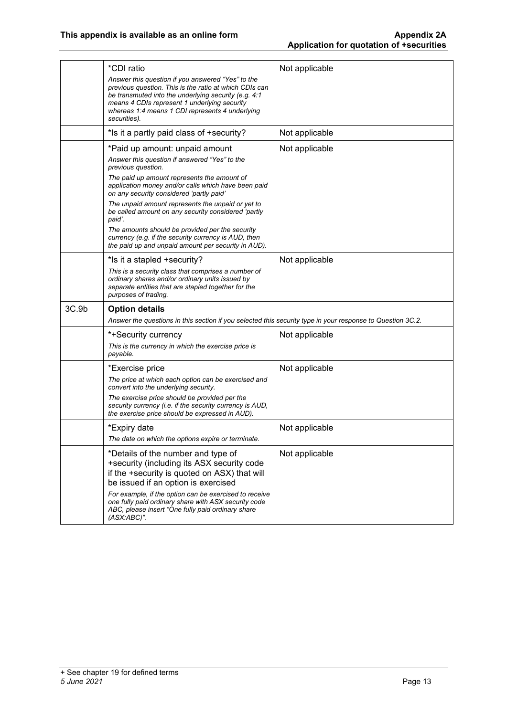|                   | *CDI ratio<br>Answer this question if you answered "Yes" to the<br>previous question. This is the ratio at which CDIs can<br>be transmuted into the underlying security (e.g. 4:1<br>means 4 CDIs represent 1 underlying security<br>whereas 1:4 means 1 CDI represents 4 underlying<br>securities). | Not applicable |
|-------------------|------------------------------------------------------------------------------------------------------------------------------------------------------------------------------------------------------------------------------------------------------------------------------------------------------|----------------|
|                   | *Is it a partly paid class of +security?                                                                                                                                                                                                                                                             | Not applicable |
|                   | *Paid up amount: unpaid amount                                                                                                                                                                                                                                                                       | Not applicable |
|                   | Answer this question if answered "Yes" to the<br>previous question.                                                                                                                                                                                                                                  |                |
|                   | The paid up amount represents the amount of<br>application money and/or calls which have been paid<br>on any security considered 'partly paid'                                                                                                                                                       |                |
|                   | The unpaid amount represents the unpaid or yet to<br>be called amount on any security considered 'partly<br>paid'.                                                                                                                                                                                   |                |
|                   | The amounts should be provided per the security<br>currency (e.g. if the security currency is AUD, then<br>the paid up and unpaid amount per security in AUD).                                                                                                                                       |                |
|                   | *Is it a stapled +security?                                                                                                                                                                                                                                                                          | Not applicable |
|                   | This is a security class that comprises a number of<br>ordinary shares and/or ordinary units issued by<br>separate entities that are stapled together for the<br>purposes of trading.                                                                                                                |                |
| 3C.9 <sub>b</sub> | <b>Option details</b>                                                                                                                                                                                                                                                                                |                |
|                   | Answer the questions in this section if you selected this security type in your response to Question 3C.2.                                                                                                                                                                                           |                |
|                   | *+Security currency                                                                                                                                                                                                                                                                                  | Not applicable |
|                   | This is the currency in which the exercise price is<br>payable.                                                                                                                                                                                                                                      |                |
|                   |                                                                                                                                                                                                                                                                                                      |                |
|                   | *Exercise price                                                                                                                                                                                                                                                                                      | Not applicable |
|                   | The price at which each option can be exercised and<br>convert into the underlying security.                                                                                                                                                                                                         |                |
|                   | The exercise price should be provided per the<br>security currency (i.e. if the security currency is AUD,<br>the exercise price should be expressed in AUD).                                                                                                                                         |                |
|                   | *Expiry date                                                                                                                                                                                                                                                                                         | Not applicable |
|                   | The date on which the options expire or terminate.                                                                                                                                                                                                                                                   |                |
|                   | *Details of the number and type of<br>+security (including its ASX security code<br>if the +security is quoted on ASX) that will<br>be issued if an option is exercised                                                                                                                              | Not applicable |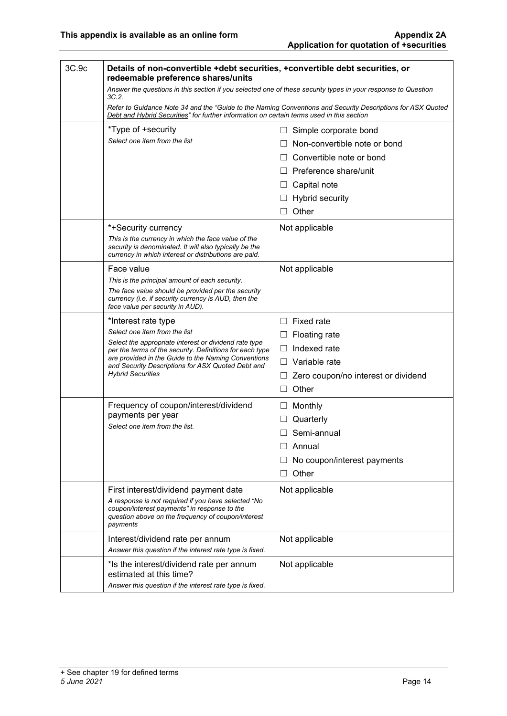| 3C.9c | Details of non-convertible +debt securities, +convertible debt securities, or                                                                                          |                                                                                                             |  |
|-------|------------------------------------------------------------------------------------------------------------------------------------------------------------------------|-------------------------------------------------------------------------------------------------------------|--|
|       | redeemable preference shares/units<br>Answer the questions in this section if you selected one of these security types in your response to Question                    |                                                                                                             |  |
|       | 3C.2.                                                                                                                                                                  | Refer to Guidance Note 34 and the "Guide to the Naming Conventions and Security Descriptions for ASX Quoted |  |
|       | Debt and Hybrid Securities" for further information on certain terms used in this section                                                                              |                                                                                                             |  |
|       | *Type of +security                                                                                                                                                     | Simple corporate bond<br>ш                                                                                  |  |
|       | Select one item from the list                                                                                                                                          | Non-convertible note or bond                                                                                |  |
|       |                                                                                                                                                                        | Convertible note or bond<br>$\Box$                                                                          |  |
|       |                                                                                                                                                                        | $\Box$ Preference share/unit                                                                                |  |
|       |                                                                                                                                                                        | Capital note<br>$\Box$                                                                                      |  |
|       |                                                                                                                                                                        | <b>Hybrid security</b><br>ப                                                                                 |  |
|       |                                                                                                                                                                        | Other<br>П.                                                                                                 |  |
|       | *+Security currency                                                                                                                                                    | Not applicable                                                                                              |  |
|       | This is the currency in which the face value of the<br>security is denominated. It will also typically be the<br>currency in which interest or distributions are paid. |                                                                                                             |  |
|       | Face value                                                                                                                                                             | Not applicable                                                                                              |  |
|       | This is the principal amount of each security.                                                                                                                         |                                                                                                             |  |
|       | The face value should be provided per the security<br>currency (i.e. if security currency is AUD, then the<br>face value per security in AUD).                         |                                                                                                             |  |
|       | *Interest rate type                                                                                                                                                    | $\Box$ Fixed rate                                                                                           |  |
|       | Select one item from the list                                                                                                                                          | <b>Floating rate</b><br>$\Box$                                                                              |  |
|       | Select the appropriate interest or dividend rate type<br>per the terms of the security. Definitions for each type                                                      | Indexed rate<br>$\Box$                                                                                      |  |
|       | are provided in the Guide to the Naming Conventions<br>and Security Descriptions for ASX Quoted Debt and                                                               | Variable rate<br>П                                                                                          |  |
|       | <b>Hybrid Securities</b>                                                                                                                                               | Zero coupon/no interest or dividend<br>Ш                                                                    |  |
|       |                                                                                                                                                                        | Other<br>$\Box$                                                                                             |  |
|       | Frequency of coupon/interest/dividend                                                                                                                                  | Monthly<br>$\Box$                                                                                           |  |
|       | payments per year                                                                                                                                                      | Quarterly                                                                                                   |  |
|       | Select one item from the list.                                                                                                                                         | Semi-annual<br>$\Box$                                                                                       |  |
|       |                                                                                                                                                                        | Annual<br>П                                                                                                 |  |
|       |                                                                                                                                                                        | No coupon/interest payments                                                                                 |  |
|       |                                                                                                                                                                        | Other<br>$\Box$                                                                                             |  |
|       | First interest/dividend payment date                                                                                                                                   | Not applicable                                                                                              |  |
|       | A response is not required if you have selected "No<br>coupon/interest payments" in response to the<br>question above on the frequency of coupon/interest<br>payments  |                                                                                                             |  |
|       | Interest/dividend rate per annum                                                                                                                                       | Not applicable                                                                                              |  |
|       | Answer this question if the interest rate type is fixed.                                                                                                               |                                                                                                             |  |
|       | *Is the interest/dividend rate per annum<br>estimated at this time?                                                                                                    | Not applicable                                                                                              |  |
|       | Answer this question if the interest rate type is fixed.                                                                                                               |                                                                                                             |  |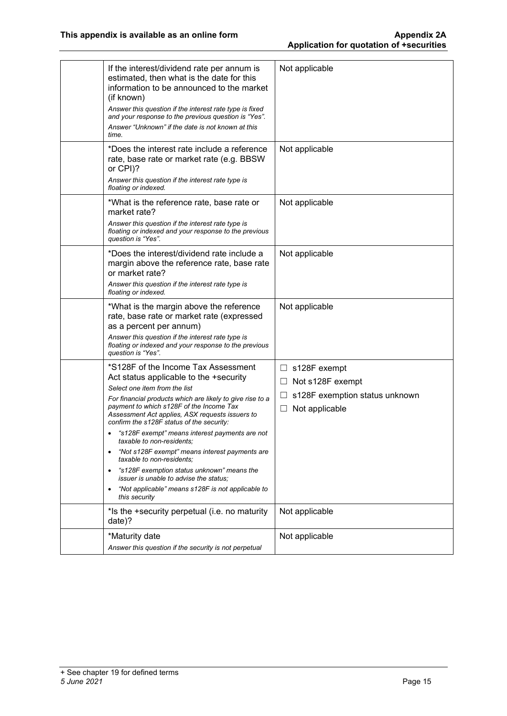| If the interest/dividend rate per annum is<br>estimated, then what is the date for this<br>information to be announced to the market<br>(if known)<br>Answer this question if the interest rate type is fixed<br>and your response to the previous question is "Yes".<br>Answer "Unknown" if the date is not known at this<br>time.                                                                                                                                                                                                                                                                                                                                  | Not applicable                                                                                             |
|----------------------------------------------------------------------------------------------------------------------------------------------------------------------------------------------------------------------------------------------------------------------------------------------------------------------------------------------------------------------------------------------------------------------------------------------------------------------------------------------------------------------------------------------------------------------------------------------------------------------------------------------------------------------|------------------------------------------------------------------------------------------------------------|
| *Does the interest rate include a reference<br>rate, base rate or market rate (e.g. BBSW<br>or CPI)?<br>Answer this question if the interest rate type is<br>floating or indexed.                                                                                                                                                                                                                                                                                                                                                                                                                                                                                    | Not applicable                                                                                             |
| *What is the reference rate, base rate or<br>market rate?<br>Answer this question if the interest rate type is<br>floating or indexed and your response to the previous<br>question is "Yes".                                                                                                                                                                                                                                                                                                                                                                                                                                                                        | Not applicable                                                                                             |
| *Does the interest/dividend rate include a<br>margin above the reference rate, base rate<br>or market rate?<br>Answer this question if the interest rate type is<br>floating or indexed.                                                                                                                                                                                                                                                                                                                                                                                                                                                                             | Not applicable                                                                                             |
| *What is the margin above the reference<br>rate, base rate or market rate (expressed<br>as a percent per annum)<br>Answer this question if the interest rate type is<br>floating or indexed and your response to the previous<br>question is "Yes".                                                                                                                                                                                                                                                                                                                                                                                                                  | Not applicable                                                                                             |
| *S128F of the Income Tax Assessment<br>Act status applicable to the +security<br>Select one item from the list<br>For financial products which are likely to give rise to a<br>payment to which s128F of the Income Tax<br>Assessment Act applies, ASX requests issuers to<br>confirm the s128F status of the security:<br>"s128F exempt" means interest payments are not<br>taxable to non-residents;<br>"Not s128F exempt" means interest payments are<br>٠<br>taxable to non-residents:<br>"s128F exemption status unknown" means the<br><i>issuer is unable to advise the status:</i><br>"Not applicable" means s128F is not applicable to<br>٠<br>this security | $\Box$ s128F exempt<br>Not s128F exempt<br>Ш<br>s128F exemption status unknown<br>ப<br>Not applicable<br>Ш |
| *Is the +security perpetual (i.e. no maturity<br>date)?                                                                                                                                                                                                                                                                                                                                                                                                                                                                                                                                                                                                              | Not applicable                                                                                             |
| *Maturity date<br>Answer this question if the security is not perpetual                                                                                                                                                                                                                                                                                                                                                                                                                                                                                                                                                                                              | Not applicable                                                                                             |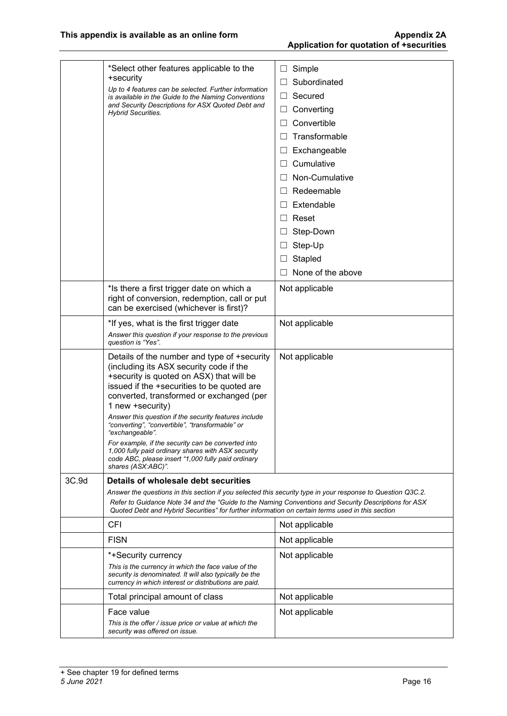|       | *Select other features applicable to the<br>+security<br>Up to 4 features can be selected. Further information<br>is available in the Guide to the Naming Conventions<br>and Security Descriptions for ASX Quoted Debt and<br><b>Hybrid Securities.</b>                                                                 | Simple<br>$\sqcup$<br>Subordinated<br>П<br>Secured<br>Converting<br>⊔<br>Convertible<br>Transformable<br>$\Box$<br>Exchangeable<br>$\Box$<br>Cumulative<br>$\Box$<br>Non-Cumulative<br>$\Box$<br>Redeemable<br>$\Box$<br>Extendable<br>$\perp$<br>Reset<br>$\mathsf{L}$ |
|-------|-------------------------------------------------------------------------------------------------------------------------------------------------------------------------------------------------------------------------------------------------------------------------------------------------------------------------|-------------------------------------------------------------------------------------------------------------------------------------------------------------------------------------------------------------------------------------------------------------------------|
|       |                                                                                                                                                                                                                                                                                                                         | Step-Down<br>$\Box$                                                                                                                                                                                                                                                     |
|       |                                                                                                                                                                                                                                                                                                                         | Step-Up<br>$\Box$                                                                                                                                                                                                                                                       |
|       |                                                                                                                                                                                                                                                                                                                         | Stapled<br>$\Box$                                                                                                                                                                                                                                                       |
|       |                                                                                                                                                                                                                                                                                                                         | None of the above                                                                                                                                                                                                                                                       |
|       | *Is there a first trigger date on which a<br>right of conversion, redemption, call or put<br>can be exercised (whichever is first)?                                                                                                                                                                                     | Not applicable                                                                                                                                                                                                                                                          |
|       | *If yes, what is the first trigger date<br>Answer this question if your response to the previous<br>question is "Yes".                                                                                                                                                                                                  | Not applicable                                                                                                                                                                                                                                                          |
|       | Details of the number and type of +security<br>(including its ASX security code if the<br>+security is quoted on ASX) that will be<br>issued if the +securities to be quoted are<br>converted, transformed or exchanged (per<br>1 new +security)                                                                        | Not applicable                                                                                                                                                                                                                                                          |
|       | Answer this question if the security features include<br>"converting", "convertible", "transformable" or<br>"exchangeable".                                                                                                                                                                                             |                                                                                                                                                                                                                                                                         |
|       | For example, if the security can be converted into<br>1,000 fully paid ordinary shares with ASX security<br>code ABC, please insert "1,000 fully paid ordinary<br>shares (ASX:ABC)".                                                                                                                                    |                                                                                                                                                                                                                                                                         |
| 3C.9d | Details of wholesale debt securities                                                                                                                                                                                                                                                                                    |                                                                                                                                                                                                                                                                         |
|       | Answer the questions in this section if you selected this security type in your response to Question Q3C.2.<br>Refer to Guidance Note 34 and the "Guide to the Naming Conventions and Security Descriptions for ASX<br>Quoted Debt and Hybrid Securities" for further information on certain terms used in this section |                                                                                                                                                                                                                                                                         |
|       | CFI                                                                                                                                                                                                                                                                                                                     | Not applicable                                                                                                                                                                                                                                                          |
|       | <b>FISN</b>                                                                                                                                                                                                                                                                                                             | Not applicable                                                                                                                                                                                                                                                          |
|       | *+Security currency                                                                                                                                                                                                                                                                                                     | Not applicable                                                                                                                                                                                                                                                          |
|       | This is the currency in which the face value of the<br>security is denominated. It will also typically be the<br>currency in which interest or distributions are paid.                                                                                                                                                  |                                                                                                                                                                                                                                                                         |
|       | Total principal amount of class                                                                                                                                                                                                                                                                                         | Not applicable                                                                                                                                                                                                                                                          |
|       | Face value                                                                                                                                                                                                                                                                                                              | Not applicable                                                                                                                                                                                                                                                          |
|       | This is the offer / issue price or value at which the<br>security was offered on issue.                                                                                                                                                                                                                                 |                                                                                                                                                                                                                                                                         |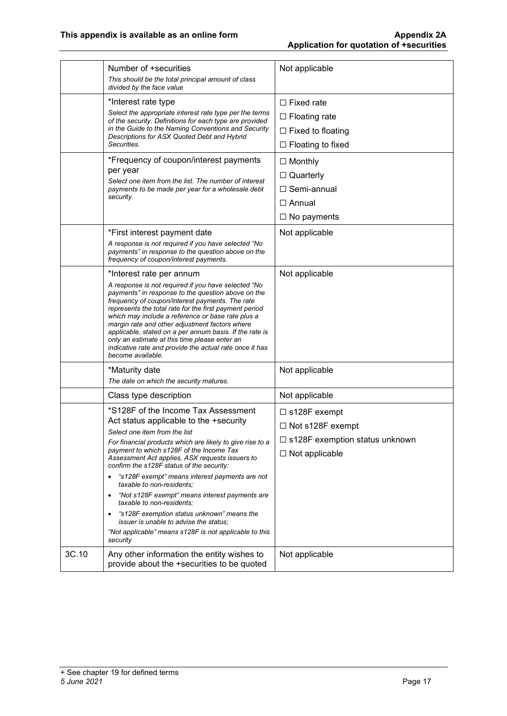|       | Number of +securities<br>This should be the total principal amount of class<br>divided by the face value                                                                                                                                                                                                                                                                                                                                                                                                                                                                                                                                                                             | Not applicable                                                                                              |
|-------|--------------------------------------------------------------------------------------------------------------------------------------------------------------------------------------------------------------------------------------------------------------------------------------------------------------------------------------------------------------------------------------------------------------------------------------------------------------------------------------------------------------------------------------------------------------------------------------------------------------------------------------------------------------------------------------|-------------------------------------------------------------------------------------------------------------|
|       | *Interest rate type<br>Select the appropriate interest rate type per the terms<br>of the security. Definitions for each type are provided<br>in the Guide to the Naming Conventions and Security<br>Descriptions for ASX Quoted Debt and Hybrid<br>Securities.                                                                                                                                                                                                                                                                                                                                                                                                                       | $\Box$ Fixed rate<br>$\Box$ Floating rate<br>$\Box$ Fixed to floating<br>$\Box$ Floating to fixed           |
|       | *Frequency of coupon/interest payments<br>per year<br>Select one item from the list. The number of interest<br>payments to be made per year for a wholesale debt<br>security.                                                                                                                                                                                                                                                                                                                                                                                                                                                                                                        | $\Box$ Monthly<br>$\Box$ Quarterly<br>$\Box$ Semi-annual<br>$\Box$ Annual<br>$\Box$ No payments             |
|       | *First interest payment date<br>A response is not required if you have selected "No<br>payments" in response to the question above on the<br>frequency of coupon/interest payments.                                                                                                                                                                                                                                                                                                                                                                                                                                                                                                  | Not applicable                                                                                              |
|       | *Interest rate per annum<br>A response is not required if you have selected "No<br>payments" in response to the question above on the<br>frequency of coupon/interest payments. The rate<br>represents the total rate for the first payment period<br>which may include a reference or base rate plus a<br>margin rate and other adjustment factors where<br>applicable, stated on a per annum basis. If the rate is<br>only an estimate at this time please enter an<br>indicative rate and provide the actual rate once it has<br>become available.                                                                                                                                | Not applicable                                                                                              |
|       | *Maturity date<br>The date on which the security matures.                                                                                                                                                                                                                                                                                                                                                                                                                                                                                                                                                                                                                            | Not applicable                                                                                              |
|       | Class type description                                                                                                                                                                                                                                                                                                                                                                                                                                                                                                                                                                                                                                                               | Not applicable                                                                                              |
|       | *S128F of the Income Tax Assessment<br>Act status applicable to the +security<br>Select one item from the list<br>For financial products which are likely to give rise to a<br>payment to which s128F of the Income Tax<br>Assessment Act applies, ASX requests issuers to<br>confirm the s128F status of the security:<br>"s128F exempt" means interest payments are not<br>$\bullet$<br>taxable to non-residents:<br>"Not s128F exempt" means interest payments are<br>$\bullet$<br>taxable to non-residents;<br>"s128F exemption status unknown" means the<br><i>issuer is unable to advise the status:</i><br>"Not applicable" means s128F is not applicable to this<br>security | $\Box$ s128F exempt<br>□ Not s128F exempt<br>$\Box$ s128F exemption status unknown<br>$\Box$ Not applicable |
| 3C.10 | Any other information the entity wishes to<br>provide about the +securities to be quoted                                                                                                                                                                                                                                                                                                                                                                                                                                                                                                                                                                                             | Not applicable                                                                                              |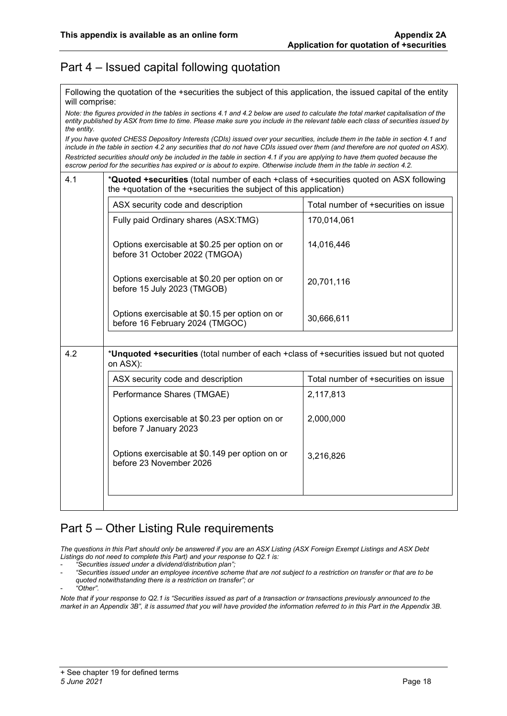#### Part 4 – Issued capital following quotation

Following the quotation of the +securities the subject of this application, the issued capital of the entity will comprise:

*Note: the figures provided in the tables in sections 4.1 and 4.2 below are used to calculate the total market capitalisation of the entity published by ASX from time to time. Please make sure you include in the relevant table each class of securities issued by the entity.*

*If you have quoted CHESS Depository Interests (CDIs) issued over your securities, include them in the table in section 4.1 and include in the table in section 4.2 any securities that do not have CDIs issued over them (and therefore are not quoted on ASX).*

*Restricted securities should only be included in the table in section 4.1 if you are applying to have them quoted because the escrow period for the securities has expired or is about to expire. Otherwise include them in the table in section 4.2.*

|     | ASX security code and description                                                                   | Total number of +securities on issue |  |  |  |
|-----|-----------------------------------------------------------------------------------------------------|--------------------------------------|--|--|--|
|     | Fully paid Ordinary shares (ASX:TMG)                                                                | 170,014,061                          |  |  |  |
|     | Options exercisable at \$0.25 per option on or<br>before 31 October 2022 (TMGOA)                    | 14,016,446                           |  |  |  |
|     | Options exercisable at \$0.20 per option on or<br>before 15 July 2023 (TMGOB)                       | 20,701,116                           |  |  |  |
|     | Options exercisable at \$0.15 per option on or<br>before 16 February 2024 (TMGOC)                   | 30,666,611                           |  |  |  |
|     |                                                                                                     |                                      |  |  |  |
| 4.2 | *Unquoted +securities (total number of each +class of +securities issued but not quoted<br>on ASX): |                                      |  |  |  |
|     |                                                                                                     |                                      |  |  |  |
|     | ASX security code and description                                                                   | Total number of +securities on issue |  |  |  |
|     | Performance Shares (TMGAE)                                                                          | 2,117,813                            |  |  |  |
|     | Options exercisable at \$0.23 per option on or<br>before 7 January 2023                             | 2,000,000                            |  |  |  |
|     | Options exercisable at \$0.149 per option on or<br>before 23 November 2026                          | 3,216,826                            |  |  |  |
|     |                                                                                                     |                                      |  |  |  |

#### Part 5 – Other Listing Rule requirements

*The questions in this Part should only be answered if you are an ASX Listing (ASX Foreign Exempt Listings and ASX Debt Listings do not need to complete this Part) and your response to Q2.1 is:*

- *"Securities issued under a dividend/distribution plan";*

- *"Securities issued under an employee incentive scheme that are not subject to a restriction on transfer or that are to be quoted notwithstanding there is a restriction on transfer"; or*

- *"Other".*

*Note that if your response to Q2.1 is "Securities issued as part of a transaction or transactions previously announced to the market in an Appendix 3B", it is assumed that you will have provided the information referred to in this Part in the Appendix 3B.*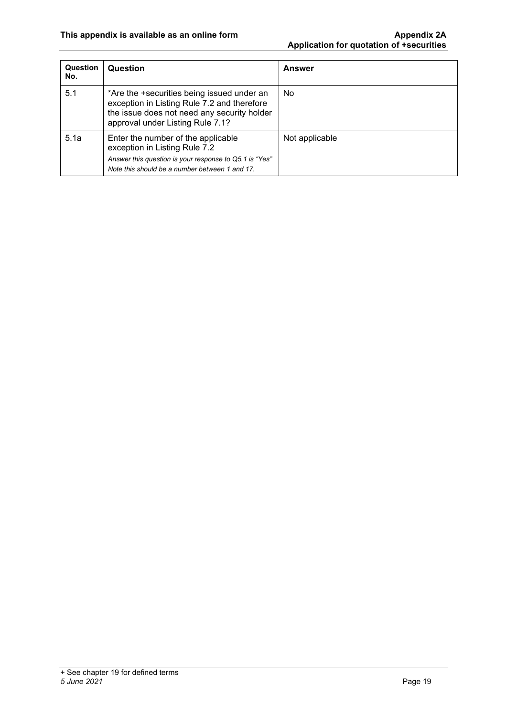| <b>Question</b><br>No. | Question                                                                                                                                                                        | <b>Answer</b>  |
|------------------------|---------------------------------------------------------------------------------------------------------------------------------------------------------------------------------|----------------|
| 5.1                    | *Are the +securities being issued under an<br>exception in Listing Rule 7.2 and therefore<br>the issue does not need any security holder<br>approval under Listing Rule 7.1?    | No             |
| 5.1a                   | Enter the number of the applicable<br>exception in Listing Rule 7.2<br>Answer this question is your response to Q5.1 is "Yes"<br>Note this should be a number between 1 and 17. | Not applicable |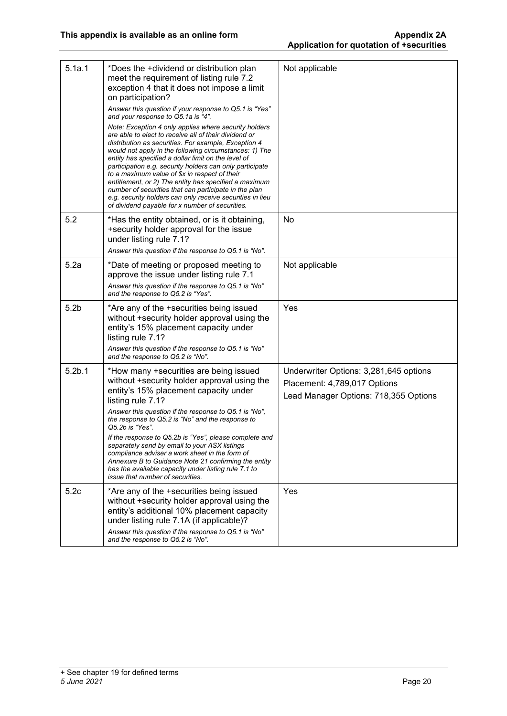| 5.1a.1             | *Does the +dividend or distribution plan<br>meet the requirement of listing rule 7.2<br>exception 4 that it does not impose a limit<br>on participation?<br>Answer this question if your response to Q5.1 is "Yes"<br>and your response to Q5.1a is "4".                                                                                                                                                                                                                                                                                                                                                                               | Not applicable                                                                                                  |
|--------------------|----------------------------------------------------------------------------------------------------------------------------------------------------------------------------------------------------------------------------------------------------------------------------------------------------------------------------------------------------------------------------------------------------------------------------------------------------------------------------------------------------------------------------------------------------------------------------------------------------------------------------------------|-----------------------------------------------------------------------------------------------------------------|
|                    | Note: Exception 4 only applies where security holders<br>are able to elect to receive all of their dividend or<br>distribution as securities. For example, Exception 4<br>would not apply in the following circumstances: 1) The<br>entity has specified a dollar limit on the level of<br>participation e.g. security holders can only participate<br>to a maximum value of \$x in respect of their<br>entitlement, or 2) The entity has specified a maximum<br>number of securities that can participate in the plan<br>e.g. security holders can only receive securities in lieu<br>of dividend payable for x number of securities. |                                                                                                                 |
| 5.2                | *Has the entity obtained, or is it obtaining,<br>+security holder approval for the issue<br>under listing rule 7.1?<br>Answer this question if the response to Q5.1 is "No".                                                                                                                                                                                                                                                                                                                                                                                                                                                           | No                                                                                                              |
| 5.2a               | *Date of meeting or proposed meeting to<br>approve the issue under listing rule 7.1<br>Answer this question if the response to Q5.1 is "No"<br>and the response to Q5.2 is "Yes".                                                                                                                                                                                                                                                                                                                                                                                                                                                      | Not applicable                                                                                                  |
| 5.2 <sub>b</sub>   | *Are any of the +securities being issued<br>without +security holder approval using the<br>entity's 15% placement capacity under<br>listing rule 7.1?<br>Answer this question if the response to Q5.1 is "No"<br>and the response to Q5.2 is "No".                                                                                                                                                                                                                                                                                                                                                                                     | Yes                                                                                                             |
| 5.2 <sub>b.1</sub> | *How many +securities are being issued<br>without +security holder approval using the<br>entity's 15% placement capacity under<br>listing rule 7.1?                                                                                                                                                                                                                                                                                                                                                                                                                                                                                    | Underwriter Options: 3,281,645 options<br>Placement: 4,789,017 Options<br>Lead Manager Options: 718,355 Options |
|                    | Answer this question if the response to Q5.1 is "No",<br>the response to Q5.2 is "No" and the response to<br>Q5.2b is "Yes".                                                                                                                                                                                                                                                                                                                                                                                                                                                                                                           |                                                                                                                 |
|                    | If the response to Q5.2b is "Yes", please complete and<br>separately send by email to your ASX listings<br>compliance adviser a work sheet in the form of<br>Annexure B to Guidance Note 21 confirming the entity<br>has the available capacity under listing rule 7.1 to<br><i>issue that number of securities.</i>                                                                                                                                                                                                                                                                                                                   |                                                                                                                 |
| 5.2c               | *Are any of the +securities being issued<br>without +security holder approval using the<br>entity's additional 10% placement capacity<br>under listing rule 7.1A (if applicable)?<br>Answer this question if the response to Q5.1 is "No"<br>and the response to Q5.2 is "No".                                                                                                                                                                                                                                                                                                                                                         | Yes                                                                                                             |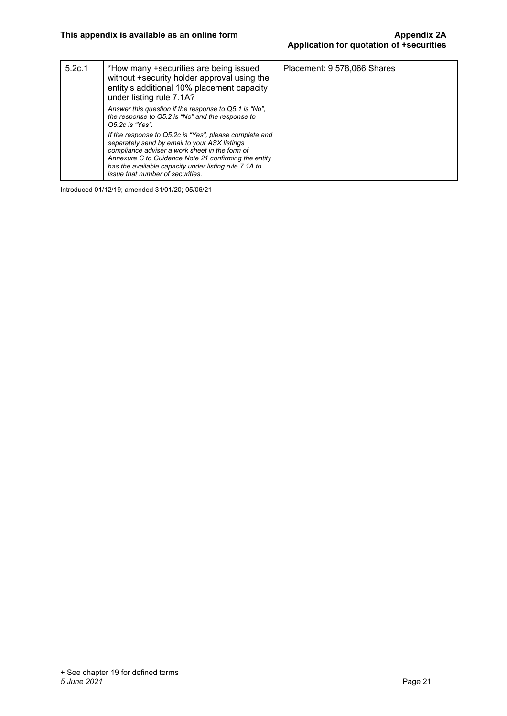| 5.2c.1 | *How many +securities are being issued<br>without +security holder approval using the<br>entity's additional 10% placement capacity<br>under listing rule 7.1A?                                                                                                                                                       | Placement: 9,578,066 Shares |
|--------|-----------------------------------------------------------------------------------------------------------------------------------------------------------------------------------------------------------------------------------------------------------------------------------------------------------------------|-----------------------------|
|        | Answer this question if the response to Q5.1 is "No",<br>the response to Q5.2 is "No" and the response to<br>Q5.2c is "Yes".                                                                                                                                                                                          |                             |
|        | If the response to Q5.2c is "Yes", please complete and<br>separately send by email to your ASX listings<br>compliance adviser a work sheet in the form of<br>Annexure C to Guidance Note 21 confirming the entity<br>has the available capacity under listing rule 7.1A to<br><i>issue that number of securities.</i> |                             |

Introduced 01/12/19; amended 31/01/20; 05/06/21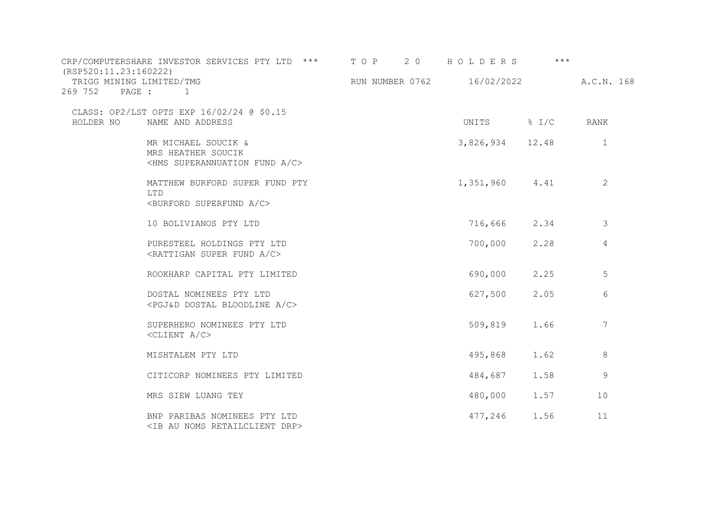| (RSP520:11.23:160222)               | CRP/COMPUTERSHARE INVESTOR SERVICES PTY LTD ***                                              | T O P 2 0                             | HOLDERS         | $***$ |                 |
|-------------------------------------|----------------------------------------------------------------------------------------------|---------------------------------------|-----------------|-------|-----------------|
| TRIGG MINING LIMITED/TMG<br>269 752 | PAGE : 1                                                                                     | RUN NUMBER 0762 16/02/2022 A.C.N. 168 |                 |       |                 |
| HOLDER NO                           | CLASS: OP2/LST OPTS EXP 16/02/24 @ \$0.15<br>NAME AND ADDRESS                                |                                       | UNITS % I/C     |       | RANK            |
|                                     | MR MICHAEL SOUCIK &<br>MRS HEATHER SOUCIK<br><hms a="" c="" fund="" superannuation=""></hms> |                                       | 3,826,934 12.48 |       | 1               |
|                                     | MATTHEW BURFORD SUPER FUND PTY<br>LTD<br><burford a="" c="" superfund=""></burford>          |                                       | 1,351,960 4.41  |       | 2               |
|                                     | 10 BOLIVIANOS PTY LTD                                                                        |                                       | 716,666 2.34    |       | 3               |
|                                     | PURESTEEL HOLDINGS PTY LTD<br><rattigan a="" c="" fund="" super=""></rattigan>               |                                       | 700,000         | 2.28  | 4               |
|                                     | ROOKHARP CAPITAL PTY LIMITED                                                                 |                                       | 690,000         | 2.25  | $\mathsf S$     |
|                                     | DOSTAL NOMINEES PTY LTD<br><pgj&d a="" bloodline="" c="" dostal=""></pgj&d>                  |                                       | 627,500         | 2.05  | 6               |
|                                     | SUPERHERO NOMINEES PTY LTD<br>$<$ CLIENT A/C $>$                                             |                                       | 509,819         | 1.66  | $7\phantom{.0}$ |
|                                     | MISHTALEM PTY LTD                                                                            |                                       | 495,868 1.62    |       | 8               |
|                                     | CITICORP NOMINEES PTY LIMITED                                                                |                                       | 484,687         | 1.58  | 9               |
|                                     | MRS SIEW LUANG TEY                                                                           |                                       | 480,000         | 1.57  | 10              |
|                                     | BNP PARIBAS NOMINEES PTY LTD<br><ib au="" drp="" noms="" retailclient=""></ib>               |                                       | 477,246         | 1.56  | 11              |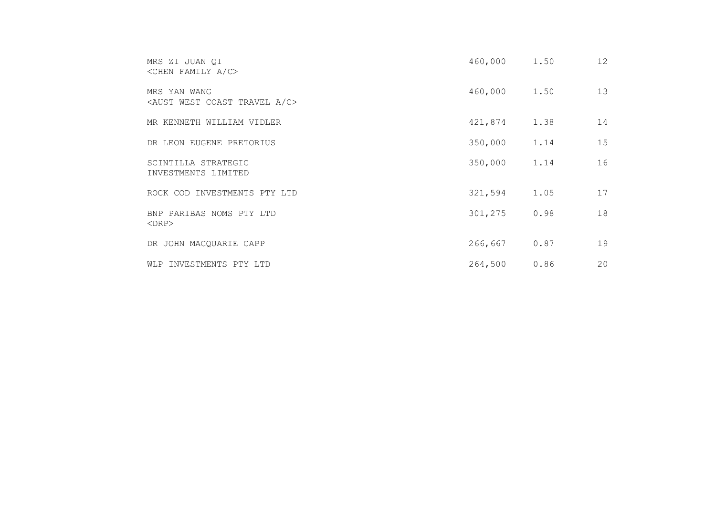| MRS ZI JUAN QI<br>$\langle$ CHEN FAMILY A/C>                       | 460,000 | 1.50 | 12 |
|--------------------------------------------------------------------|---------|------|----|
| MRS YAN WANG<br><aust a="" c="" coast="" travel="" west=""></aust> | 460,000 | 1.50 | 13 |
| MR KENNETH WILLIAM VIDLER                                          | 421,874 | 1.38 | 14 |
| DR LEON EUGENE PRETORIUS                                           | 350,000 | 1.14 | 15 |
| SCINTILLA STRATEGIC<br>INVESTMENTS LIMITED                         | 350,000 | 1.14 | 16 |
| ROCK COD INVESTMENTS PTY LTD                                       | 321,594 | 1.05 | 17 |
| BNP PARIBAS NOMS PTY LTD<br>$<$ DRP $>$                            | 301,275 | 0.98 | 18 |
| DR JOHN MACQUARIE CAPP                                             | 266,667 | 0.87 | 19 |
| WLP INVESTMENTS PTY LTD                                            | 264,500 | 0.86 | 20 |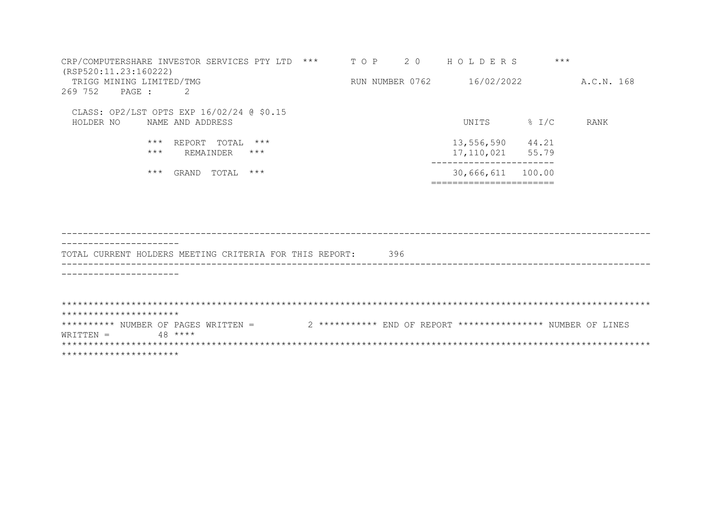| CRP/COMPUTERSHARE INVESTOR SERVICES PTY LTD<br>$***$<br>(RSP520:11.23:160222) | T O P           | 2 0 | HOLDERS    | $***$             |            |
|-------------------------------------------------------------------------------|-----------------|-----|------------|-------------------|------------|
|                                                                               |                 |     |            |                   |            |
| TRIGG MINING LIMITED/TMG                                                      | RUN NUMBER 0762 |     | 16/02/2022 |                   | A.C.N. 168 |
| 269 752<br>2<br>PAGE :                                                        |                 |     |            |                   |            |
|                                                                               |                 |     |            |                   |            |
| CLASS: OP2/LST OPTS EXP 16/02/24 @ \$0.15                                     |                 |     |            |                   |            |
| NAME AND ADDRESS<br>HOLDER NO                                                 |                 |     | UNITS      | $\frac{1}{6}$ I/C | RANK       |
|                                                                               |                 |     |            |                   |            |
|                                                                               |                 |     |            |                   |            |
| $***$<br>$***$<br>REPORT<br>TOTAL                                             |                 |     | 13,556,590 | 44.21             |            |
| $***$<br>$***$<br>REMAINDER                                                   |                 |     | 17,110,021 | 55.79             |            |
|                                                                               |                 |     |            |                   |            |
| $***$<br>$***$<br>TOTAL<br>GRAND                                              |                 |     | 30,666,611 | 100.00            |            |
|                                                                               |                 |     |            |                   |            |
|                                                                               |                 |     |            |                   |            |

| TOTAL CURRENT HOLDERS MEETING CRITERIA FOR THIS REPORT: |         |  |  |  |  | 396 |  |                                                             |  |
|---------------------------------------------------------|---------|--|--|--|--|-----|--|-------------------------------------------------------------|--|
|                                                         |         |  |  |  |  |     |  |                                                             |  |
|                                                         |         |  |  |  |  |     |  |                                                             |  |
|                                                         |         |  |  |  |  |     |  |                                                             |  |
| **********************                                  |         |  |  |  |  |     |  |                                                             |  |
| ********** NUMBER OF PAGES WRITTEN =                    |         |  |  |  |  |     |  | 2 *********** END OF REPORT *************** NUMBER OF LINES |  |
| WRTTTEN =                                               | $48***$ |  |  |  |  |     |  |                                                             |  |
|                                                         |         |  |  |  |  |     |  |                                                             |  |
| **********************                                  |         |  |  |  |  |     |  |                                                             |  |